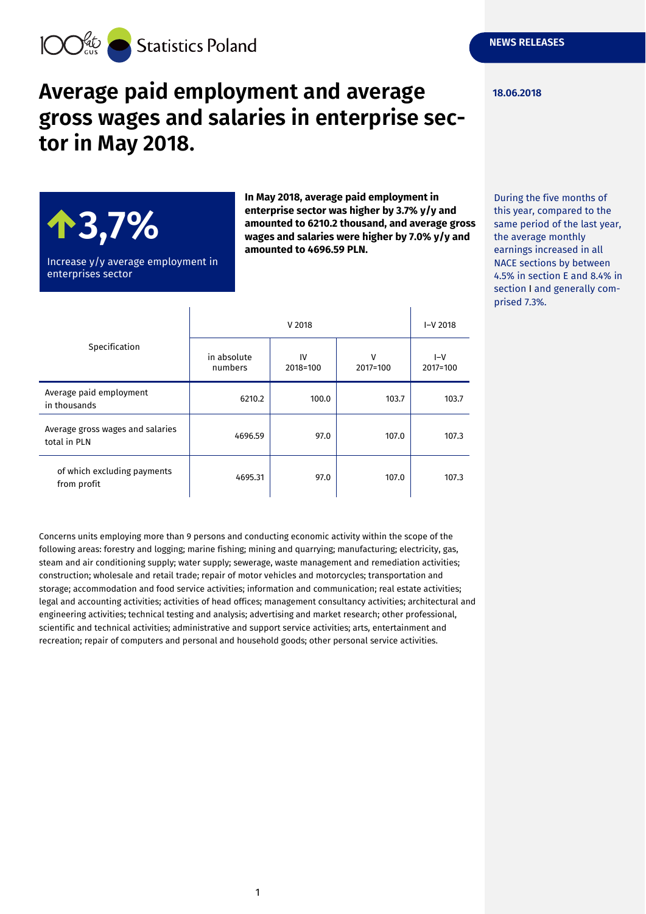**18.06.2018**



# **Average paid employment and average gross wages and salaries in enterprise sector in May 2018.**



Increase y/y average employment in enterprises sector

 $\mathbf{I}$ 

**In May 2018, average paid employment in enterprise sector was higher by 3.7% y/y and amounted to 6210.2 thousand, and average gross wages and salaries were higher by 7.0% y/y and amounted to 4696.59 PLN.**

 $\overline{1}$ 

During the five months of this year, compared to the same period of the last year, the average monthly earnings increased in all NACE sections by between 4.5% in section E and 8.4% in section I and generally comprised 7.3%.

| Specification                                    | V 2018                 |                |               | $I-V 2018$        |
|--------------------------------------------------|------------------------|----------------|---------------|-------------------|
|                                                  | in absolute<br>numbers | IV<br>2018=100 | v<br>2017=100 | $I-V$<br>2017=100 |
| Average paid employment<br>in thousands          | 6210.2                 | 100.0          | 103.7         | 103.7             |
| Average gross wages and salaries<br>total in PLN | 4696.59                | 97.0           | 107.0         | 107.3             |
| of which excluding payments<br>from profit       | 4695.31                | 97.0           | 107.0         | 107.3             |

Concerns units employing more than 9 persons and conducting economic activity within the scope of the following areas: forestry and logging; marine fishing; mining and quarrying; manufacturing; electricity, gas, steam and air conditioning supply; water supply; sewerage, waste management and remediation activities; construction; wholesale and retail trade; repair of motor vehicles and motorcycles; transportation and storage; accommodation and food service activities; information and communication; real estate activities; legal and accounting activities; activities of head offices; management consultancy activities; architectural and engineering activities; technical testing and analysis; advertising and market research; other professional, scientific and technical activities; administrative and support service activities; arts, entertainment and recreation; repair of computers and personal and household goods; other personal service activities.